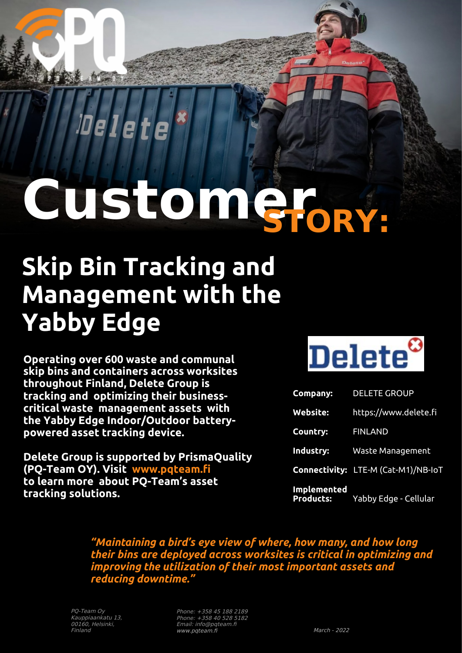**CustomerSTORY:**

## **Skip Bin Tracking and Management with the Yabby Edge**

**Operating over 600 waste and communal skip bins and containers across worksites throughout Finland, Delete Group is tracking and optimizing their businesscritical waste management assets with the Yabby Edge Indoor/Outdoor batterypowered asset tracking device.**

**Delete Group is supported by PrismaQuality (PQ-Team OY). Visit www.pqteam.fi to learn more about PQ-Team's asset tracking solutions.**



| Company:                               | <b>DELETE GROUP</b>                        |
|----------------------------------------|--------------------------------------------|
| <b>Website:</b>                        | https://www.delete.fi                      |
| Country:                               | <b>FINLAND</b>                             |
| Industry:                              | <b>Waste Management</b>                    |
|                                        | <b>Connectivity: LTE-M (Cat-M1)/NB-IoT</b> |
| <b>Implemented</b><br><b>Products:</b> | Yabby Edge - Cellular                      |

*"Maintaining a bird's eye view of where, how many, and how long their bins are deployed across worksites is critical in optimizing and improving the utilization of their most important assets and reducing downtime."*

Phone: +358 45 188 2189 Phone: +358 40 528 5182 Email: info@pqteam.fi www.pqteam.fi March - 2022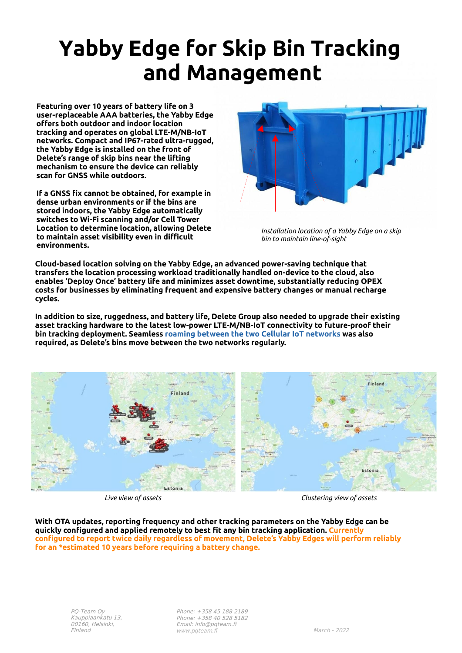## **Yabby Edge for Skip Bin Tracking and Management**

**Featuring over 10 years of battery life on 3 user-replaceable AAA batteries, the Yabby Edge offers both outdoor and indoor location tracking and operates on global LTE-M/NB-IoT networks. Compact and IP67-rated ultra-rugged, the Yabby Edge is installed on the front of Delete's range of skip bins near the lifting mechanism to ensure the device can reliably scan for GNSS while outdoors.**

**If a GNSS fix cannot be obtained, for example in dense urban environments or if the bins are stored indoors, the Yabby Edge automatically switches to Wi-Fi scanning and/or Cell Tower Location to determine location, allowing Delete to maintain asset visibility even in difficult environments.**



*Installation location of a Yabby Edge on a skip bin to maintain line-of-sight*

**Cloud-based location solving on the Yabby Edge, an advanced power-saving technique that transfers the location processing workload traditionally handled on-device to the cloud, also enables 'Deploy Once' battery life and minimizes asset downtime, substantially reducing OPEX costs for businesses by eliminating frequent and expensive battery changes or manual recharge cycles.**

**In addition to size, ruggedness, and battery life, Delete Group also needed to upgrade their existing asset tracking hardware to the latest low-power LTE-M/NB-IoT connectivity to future-proof their bin tracking deployment. Seamless [roaming between the two Cellular IoT networks](https://www.digitalmatter.com/global-iot-roaming-on-cellular-lte-m-and-nb-iot-networks/) was also required, as Delete's bins move between the two networks regularly.**



*Live view of assets Clustering view of assets*

**With OTA updates, reporting frequency and other tracking parameters on the Yabby Edge can be quickly configured and applied remotely to best fit any bin tracking application. Currently configured to report twice daily regardless of movement, Delete's Yabby Edges will perform reliably for an \*estimated 10 years before requiring a battery change.**